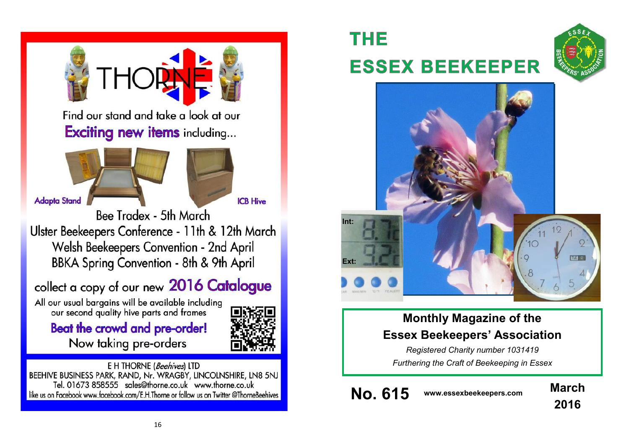

Find our stand and take a look at our **Exciting new items including...** 



**Adapta Stand** 

**ICB Hive** Bee Tradex - 5th March Ulster Beekeepers Conference - 11th & 12th March Welsh Beekeepers Convention - 2nd April

BBKA Spring Convention - 8th & 9th April

collect a copy of our new 2016 Catalogue

All our usual bargains will be available including our second quality hive parts and frames

**Beat the crowd and pre-order!** Now taking pre-orders



E H THORNE (Beehives) LTD BEEHIVE BUSINESS PARK, RAND, Nr. WRAGBY, LINCOLNSHIRE, LN8 5NJ Tel. 01673 858555 sales@thorne.co.uk www.thorne.co.uk like us on Facebook www.facebook.com/E.H.Thorne or follow us on Twitter @ThorneBeehives

# **THE ESSEX BEEKEEPER**





# **Monthly Magazine of the Essex Beekeepers' Association**

*Registered Charity number 1031419 Furthering the Craft of Beekeeping in Essex*

**No. 615 www.essexbeekeepers.com March**

**2016**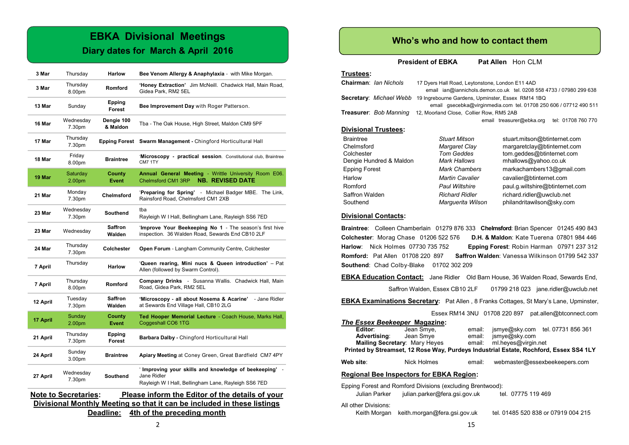### **EBKA Divisional Meetings Diary dates for March & April 2016**

| 3 Mar    | Thursday                       | <b>Harlow</b>           | Bee Venom Allergy & Anaphylaxia - with Mike Morgan.                                                                           |  |
|----------|--------------------------------|-------------------------|-------------------------------------------------------------------------------------------------------------------------------|--|
| 3 Mar    | Thursday<br>8.00pm             | Romford                 | 'Honey Extraction' Jim McNeill. Chadwick Hall, Main Road,<br>Gidea Park, RM2 5EL                                              |  |
| 13 Mar   | Sunday                         | Epping<br><b>Forest</b> | Bee Improvement Day with Roger Patterson.                                                                                     |  |
| 16 Mar   | Wednesday<br>7.30pm            | Dengie 100<br>& Maldon  | Tba - The Oak House, High Street, Maldon CM9 5PF                                                                              |  |
| 17 Mar   | Thursday<br>7.30pm             |                         | Epping Forest Swarm Management - Chingford Horticultural Hall                                                                 |  |
| 18 Mar   | Friday<br>8.00pm               | <b>Braintree</b>        | 'Microscopy - practical session. Constitutional club, Braintree<br>CM7 1TY                                                    |  |
| 19 Mar   | Saturday<br>2.00 <sub>pm</sub> | County<br>Event         | Annual General Meeting - Writtle University Room E06.<br><b>NB. REVISED DATE</b><br>Chelmsford CM1 3RP                        |  |
| 21 Mar   | Monday<br>7.30pm               | Chelmsford              | 'Preparing for Spring' - Michael Badger MBE. The Link,<br>Rainsford Road, Chelmsford CM1 2XB                                  |  |
| 23 Mar   | Wednesday<br>7.30pm            | <b>Southend</b>         | tba<br>Rayleigh W I Hall, Bellingham Lane, Rayleigh SS6 7ED                                                                   |  |
| 23 Mar   | Wednesday                      | Saffron<br>Walden       | 'Improve Your Beekeeping No 1 - The season's first hive<br>inspection. 36 Walden Road, Sewards End CB10 2LF                   |  |
| 24 Mar   | Thursday<br>7.30pm             | Colchester              | Open Forum - Langham Community Centre, Colchester                                                                             |  |
| 7 April  | Thursday                       | <b>Harlow</b>           | 'Queen rearing, Mini nucs & Queen introduction' - Pat<br>Allen (followed by Swarm Control).                                   |  |
| 7 April  | Thursday<br>8.00pm             | <b>Romford</b>          | <b>Company Drinks</b> - Susanna Wallis. Chadwick Hall, Main<br>Road, Gidea Park, RM2 5EL                                      |  |
| 12 April | Tuesday<br>7.30pm              | Saffron<br>Walden       | 'Microscopy - all about Nosema & Acarine'<br>- Jane Ridler<br>at Sewards End Village Hall, CB10 2LG                           |  |
| 17 April | Sunday<br>2.00 <sub>pm</sub>   | County<br><b>Event</b>  | Ted Hooper Memorial Lecture - Coach House, Marks Hall,<br>Coggeshall CO6 1TG                                                  |  |
| 21 April | Thursday<br>7.30pm             | Epping<br><b>Forest</b> | Barbara Dalby - Chingford Horticultural Hall                                                                                  |  |
| 24 April | Sunday<br>3.00pm               | <b>Braintree</b>        | Apiary Meeting at Coney Green, Great Bardfield CM7 4PY                                                                        |  |
| 27 April | Wednesday<br>7.30pm            | <b>Southend</b>         | ' Improving your skills and knowledge of beekeeping' -<br>Jane Ridler<br>Rayleigh W I Hall, Bellingham Lane, Rayleigh SS6 7ED |  |
|          | <b>Note to Secretaries:</b>    |                         | Please inform the Editor of the details of your                                                                               |  |

# **Divisional Monthly Meeting so that it can be included in these listings**

**Deadline: 4th of the preceding month** 

#### **Who's who and how to contact them**

**President of EBKA** Pat Allen Hon CLM

#### **Trustees:**

| Chairman: Ian Nichols<br>17 Dyers Hall Road, Leytonstone, London E11 4AD<br>email ian@iannichols.demon.co.uk tel. 0208 558 4733 / 07980 299 638 |                                                                                                                        |                                                |  |  |  |  |  |
|-------------------------------------------------------------------------------------------------------------------------------------------------|------------------------------------------------------------------------------------------------------------------------|------------------------------------------------|--|--|--|--|--|
| Secretary: Michael Webb                                                                                                                         | 19 Ingrebourne Gardens, Upminster, Essex RM14 1BQ<br>email qsecebka@virqinmedia.com tel. 01708 250 606 / 07712 490 511 |                                                |  |  |  |  |  |
| <b>Treasurer: Bob Manning</b>                                                                                                                   | 12, Moorland Close, Collier Row, RM5 2AB                                                                               |                                                |  |  |  |  |  |
|                                                                                                                                                 |                                                                                                                        | tel: 01708 760 770<br>email treasurer@ebka.org |  |  |  |  |  |
| <b>Divisional Trustees:</b>                                                                                                                     |                                                                                                                        |                                                |  |  |  |  |  |
| <b>Braintree</b>                                                                                                                                | <b>Stuart Mitson</b>                                                                                                   | stuart.mitson@btinternet.com                   |  |  |  |  |  |
| Chelmsford                                                                                                                                      | Margaret Clay                                                                                                          | margaretclay@btinternet.com                    |  |  |  |  |  |
| Colchester                                                                                                                                      | <b>Tom Geddes</b>                                                                                                      | tom.geddes@btinternet.com                      |  |  |  |  |  |
| Dengie Hundred & Maldon                                                                                                                         | Mark Hallows                                                                                                           | mhallows@yahoo.co.uk                           |  |  |  |  |  |
| <b>Epping Forest</b>                                                                                                                            | <b>Mark Chambers</b>                                                                                                   | markachambers13@gmail.com                      |  |  |  |  |  |
|                                                                                                                                                 | .                                                                                                                      | $\cdots$ $\cdots$ $\cdots$ $\cdots$            |  |  |  |  |  |

Harlow *Martin Cavalier* cavalier@btinternet.com Romford *Paul Wiltshire* paul.g.wiltshire@btinternet.com Saffron Walden *Richard Ridler* richard.ridler@uwclub.net<br>Southend *Marquerita Wilson* philandritawilson@skv.com Marguerita Wilson philandritawilson@sky.com

#### **Divisional Contacts:**

**Braintree**: Colleen Chamberlain 01279 876 333 **Chelmsford**: Brian Spencer 01245 490 843 **Colchester**: Morag Chase 01206 522 576 **D.H. & Maldon**: Kate Tuerena 07801 984 446 **Harlow**: Nick Holmes 07730 735 752 **Epping Forest**: Robin Harman 07971 237 312 **Romford:** Pat Allen 01708 220 897 **Saffron Walden**: Vanessa Wilkinson 01799 542 337 **Southend**: Chad Colby-Blake 01702 302 209

**EBKA Education Contact:** Jane Ridler Old Barn House, 36 Walden Road, Sewards End,

Saffron Walden, Essex CB10 2LF 01799 218 023 jane.ridler@uwclub.net

**EBKA Examinations Secretary:** Pat Allen , 8 Franks Cottages, St Mary's Lane, Upminster,

Essex RM14 3NU 01708 220 897 pat.allen@btconnect.com

|                                                                                       | The Essex Beekeeper Magazine:                              |        |                     |                                     |  |  |  |  |
|---------------------------------------------------------------------------------------|------------------------------------------------------------|--------|---------------------|-------------------------------------|--|--|--|--|
| Editor:                                                                               | Jean Smye,                                                 | email: |                     | jsmye@sky.com tel. 07731 856 361    |  |  |  |  |
|                                                                                       | <b>Advertising:</b> Jean Smye                              | email: | jsmye@sky.com       |                                     |  |  |  |  |
| Mailing Secretary: Mary Heyes                                                         |                                                            | email: | ml.heves@virgin.net |                                     |  |  |  |  |
| Printed by Streamset, 12 Rose Way, Purdeys Industrial Estate, Rochford, Essex SS4 1LY |                                                            |        |                     |                                     |  |  |  |  |
| Web site:                                                                             | Nick Holmes                                                | email: |                     | webmaster@essexbeekeepers.com       |  |  |  |  |
| <b>Regional Bee Inspectors for EBKA Region:</b>                                       |                                                            |        |                     |                                     |  |  |  |  |
|                                                                                       | Epping Forest and Romford Divisions (excluding Brentwood): |        |                     |                                     |  |  |  |  |
| Julian Parker                                                                         | julian parker@fera.gsi.gov.uk                              |        | tel. 07775 119 469  |                                     |  |  |  |  |
| All other Divisions:                                                                  |                                                            |        |                     |                                     |  |  |  |  |
| Keith Morgan                                                                          | keith morgan@fera.gsi.gov.uk                               |        |                     | tel. 01485 520 838 or 07919 004 215 |  |  |  |  |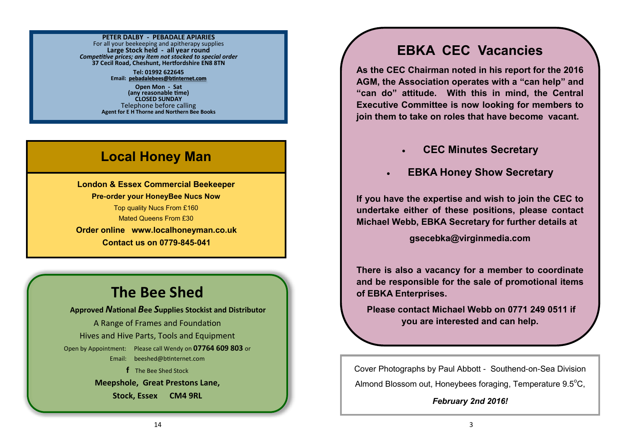#### **PETER DALBY - PEBADALE APIARIES**

For all your beekeeping and apitherapy supplies **Large Stock held - all year round** *Competitive prices; any item not stocked to special order* **37 Cecil Road, Cheshunt, Hertfordshire EN8 8TN**

> **Tel: 01992 622645 Email: [pebadalebees@btinternet.com](mailto:pebadalebees@btinternet.com)**

**Open Mon - Sat (any reasonable time) CLOSED SUNDAY** Telephone before calling **Agent for E H Thorne and Northern Bee Books**

# **Local Honey Man**

**London & Essex Commercial Beekeeper Pre-order your HoneyBee Nucs Now** Top quality Nucs From £160 Mated Queens From £30 **Order online [www.localhoneyman.co.uk](http://www.localhoneyman.co.uk) Contact us on 0779-845-041**

# **The Bee Shed**

**Approved** *N***ational** *B***ee** *S***upplies Stockist and Distributor** A Range of Frames and Foundation Hives and Hive Parts, Tools and Equipment Open by Appointment: Please call Wendy on **07764 609 803** or Email: [beeshed@btinternet.com](mailto:beeshed@btinternet.com)  **f** The Bee Shed Stock

> **Meepshole, Great Prestons Lane, Stock, Essex CM4 9RL**

# **EBKA CEC Vacancies**

**As the CEC Chairman noted in his report for the 2016 AGM, the Association operates with a "can help" and "can do" attitude. With this in mind, the Central Executive Committee is now looking for members to join them to take on roles that have become vacant.** 

- **CEC Minutes Secretary**
- **EBKA Honey Show Secretary**

**If you have the expertise and wish to join the CEC to undertake either of these positions, please contact Michael Webb, EBKA Secretary for further details at** 

**gsecebka@virginmedia.com** 

**There is also a vacancy for a member to coordinate and be responsible for the sale of promotional items of EBKA Enterprises.**

**Please contact Michael Webb on 0771 249 0511 if you are interested and can help.**

Cover Photographs by Paul Abbott - Southend-on-Sea Division Almond Blossom out, Honeybees foraging, Temperature 9.5<sup>o</sup>C,

*February 2nd 2016!*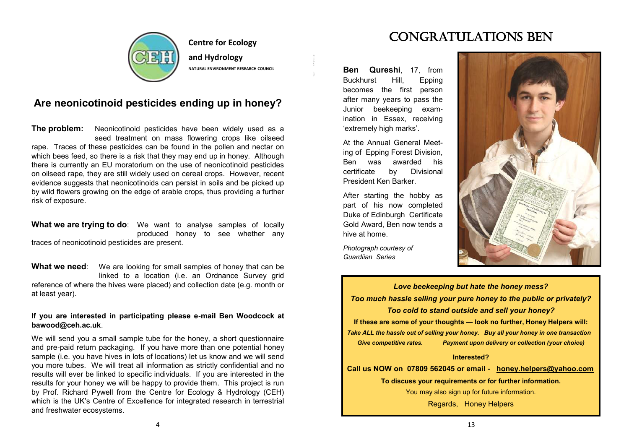

**Centre for Ecology and Hydrology NATURAL ENVIRONMENT RESEARCH COUNCIL**

### **Are neonicotinoid pesticides ending up in honey?**

**The problem:** Neonicotinoid pesticides have been widely used as a seed treatment on mass flowering crops like oilseed rape. Traces of these pesticides can be found in the pollen and nectar on which bees feed, so there is a risk that they may end up in honey. Although there is currently an EU moratorium on the use of neonicotinoid pesticides on oilseed rape, they are still widely used on cereal crops. However, recent evidence suggests that neonicotinoids can persist in soils and be picked up by wild flowers growing on the edge of arable crops, thus providing a further risk of exposure.

**What we are trying to do**: We want to analyse samples of locally produced honey to see whether any traces of neonicotinoid pesticides are present.

**What we need:** We are looking for small samples of honey that can be linked to a location (i.e. an Ordnance Survey grid reference of where the hives were placed) and collection date (e.g. month or at least year).

#### **If you are interested in participating please e-mail Ben Woodcock at bawood@ceh.ac.uk**.

We will send you a small sample tube for the honey, a short questionnaire and pre-paid return packaging. If you have more than one potential honey sample (i.e. you have hives in lots of locations) let us know and we will send you more tubes. We will treat all information as strictly confidential and no results will ever be linked to specific individuals. If you are interested in the results for your honey we will be happy to provide them. This project is run by Prof. Richard Pywell from the Centre for Ecology & Hydrology (CEH) which is the UK's Centre of Excellence for integrated research in terrestrial and freshwater ecosystems.

# CONGRATULATIONS BEN

**Ben Qureshi**, 17, from Buckhurst Hill, Epping becomes the first person after many years to pass the Junior beekeeping examination in Essex, receiving 'extremely high marks'.

At the Annual General Meeting of Epping Forest Division, Ben was awarded his certificate by Divisional President Ken Barker.

After starting the hobby as part of his now completed Duke of Edinburgh Certificate Gold Award, Ben now tends a hive at home.

*Photograph courtesy of Guardiian Series*



*Love beekeeping but hate the honey mess? Too much hassle selling your pure honey to the public or privately? Too cold to stand outside and sell your honey?* **If these are some of your thoughts — look no further, Honey Helpers will:** *Take ALL the hassle out of selling your honey. Buy all your honey in one transaction Give competitive rates. Payment upon delivery or collection (your choice)* **Interested?**

### **Call us NOW on 07809 562045 or email - [honey.helpers@yahoo.com](mailto:honey.helpers@yahoo.com)**

**To discuss your requirements or for further information.**

You may also sign up for future information.

**Ben Qureshi with Ken Barker** Regards, Honey Helpers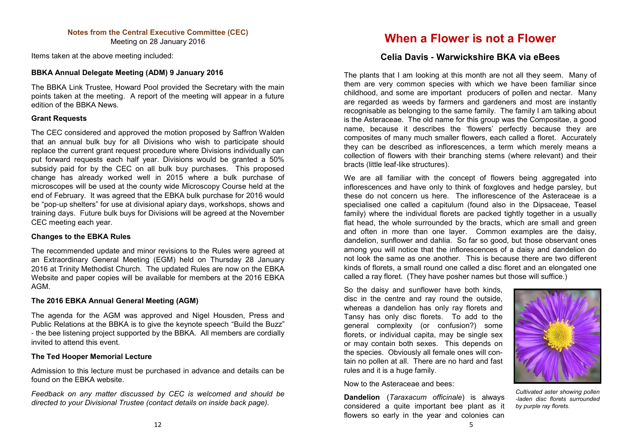#### **Notes from the Central Executive Committee (CEC)**

Meeting on 28 January 2016

Items taken at the above meeting included:

#### **BBKA Annual Delegate Meeting (ADM) 9 January 2016**

The BBKA Link Trustee, Howard Pool provided the Secretary with the main points taken at the meeting. A report of the meeting will appear in a future edition of the BBKA News.

#### **Grant Requests**

The CEC considered and approved the motion proposed by Saffron Walden that an annual bulk buy for all Divisions who wish to participate should replace the current grant request procedure where Divisions individually can put forward requests each half year. Divisions would be granted a 50% subsidy paid for by the CEC on all bulk buy purchases. This proposed change has already worked well in 2015 where a bulk purchase of microscopes will be used at the county wide Microscopy Course held at the end of February. It was agreed that the EBKA bulk purchase for 2016 would be "pop-up shelters" for use at divisional apiary days, workshops, shows and training days. Future bulk buys for Divisions will be agreed at the November CEC meeting each year.

#### **Changes to the EBKA Rules**

The recommended update and minor revisions to the Rules were agreed at an Extraordinary General Meeting (EGM) held on Thursday 28 January 2016 at Trinity Methodist Church. The updated Rules are now on the EBKA Website and paper copies will be available for members at the 2016 EBKA AGM.

#### **The 2016 EBKA Annual General Meeting (AGM)**

The agenda for the AGM was approved and Nigel Housden, Press and Public Relations at the BBKA is to give the keynote speech "Build the Buzz" - the bee listening project supported by the BBKA. All members are cordially invited to attend this event.

#### **The Ted Hooper Memorial Lecture**

Admission to this lecture must be purchased in advance and details can be found on the EBKA website.

*Feedback on any matter discussed by CEC is welcomed and should be directed to your Divisional Trustee (contact details on inside back page).*

### **When a Flower is not a Flower**

#### **Celia Davis - Warwickshire BKA via eBees**

The plants that I am looking at this month are not all they seem. Many of them are very common species with which we have been familiar since childhood, and some are important producers of pollen and nectar. Many are regarded as weeds by farmers and gardeners and most are instantly recognisable as belonging to the same family. The family I am talking about is the Asteraceae. The old name for this group was the Compositae, a good name, because it describes the 'flowers' perfectly because they are composites of many much smaller flowers, each called a floret. Accurately they can be described as inflorescences, a term which merely means a collection of flowers with their branching stems (where relevant) and their bracts (little leaf-like structures).

We are all familiar with the concept of flowers being aggregated into inflorescences and have only to think of foxgloves and hedge parsley, but these do not concern us here. The inflorescence of the Asteraceae is a specialised one called a capitulum (found also in the Dipsaceae, Teasel family) where the individual florets are packed tightly together in a usually flat head, the whole surrounded by the bracts, which are small and green and often in more than one layer. Common examples are the daisy, dandelion, sunflower and dahlia. So far so good, but those observant ones among you will notice that the inflorescences of a daisy and dandelion do not look the same as one another. This is because there are two different kinds of florets, a small round one called a disc floret and an elongated one called a ray floret. (They have posher names but those will suffice.)

So the daisy and sunflower have both kinds, disc in the centre and ray round the outside, whereas a dandelion has only ray florets and Tansy has only disc florets. To add to the general complexity (or confusion?) some florets, or individual capita, may be single sex or may contain both sexes. This depends on the species. Obviously all female ones will contain no pollen at all. There are no hard and fast rules and it is a huge family.

Now to the Asteraceae and bees:

**Dandelion** (*Taraxacum officinale*) is always considered a quite important bee plant as it flowers so early in the year and colonies can



*Cultivated aster showing pollen* -*laden disc florets surrounded by purple ray florets.*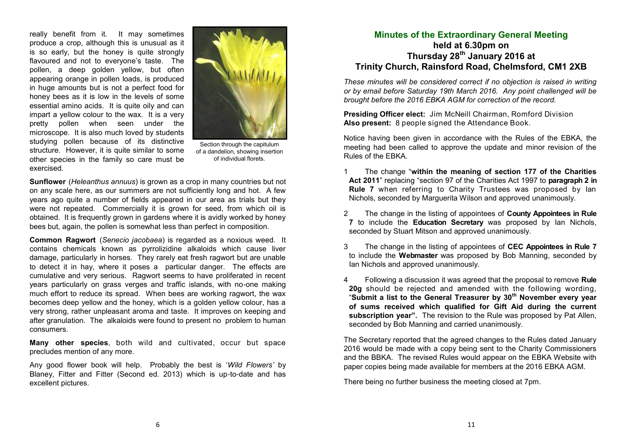really benefit from it. It may sometimes produce a crop, although this is unusual as it is so early, but the honey is quite strongly flavoured and not to everyone's taste. The pollen, a deep golden yellow, but often appearing orange in pollen loads, is produced in huge amounts but is not a perfect food for honey bees as it is low in the levels of some essential amino acids. It is quite oily and can impart a yellow colour to the wax. It is a very pretty pollen when seen under the microscope. It is also much loved by students studying pollen because of its distinctive structure. However, it is quite similar to some other species in the family so care must be exercised.



Section through the capitulum of a dandelion, showing insertion of individual florets.

**Sunflower** (*Heleanthus annuus*) is grown as a crop in many countries but not on any scale here, as our summers are not sufficiently long and hot. A few years ago quite a number of fields appeared in our area as trials but they were not repeated. Commercially it is grown for seed, from which oil is obtained. It is frequently grown in gardens where it is avidly worked by honey bees but, again, the pollen is somewhat less than perfect in composition.

**Common Ragwort** (*Senecio jacobaea*) is regarded as a noxious weed. It contains chemicals known as pyrrolizidine alkaloids which cause liver damage, particularly in horses. They rarely eat fresh ragwort but are unable to detect it in hay, where it poses a particular danger. The effects are cumulative and very serious. Ragwort seems to have proliferated in recent years particularly on grass verges and traffic islands, with no-one making much effort to reduce its spread. When bees are working ragwort, the wax becomes deep yellow and the honey, which is a golden yellow colour, has a very strong, rather unpleasant aroma and taste. It improves on keeping and after granulation. The alkaloids were found to present no problem to human consumers.

**Many other species**, both wild and cultivated, occur but space precludes mention of any more.

Any good flower book will help. Probably the best is '*Wild Flowers'* by Blaney, Fitter and Fitter (Second ed. 2013) which is up-to-date and has excellent pictures.

#### **Minutes of the Extraordinary General Meeting held at 6.30pm on Thursday 28th January 2016 at Trinity Church, Rainsford Road, Chelmsford, CM1 2XB**

*These minutes will be considered correct if no objection is raised in writing or by email before Saturday 19th March 2016. Any point challenged will be brought before the 2016 EBKA AGM for correction of the record.*

**Presiding Officer elect:** Jim McNeill Chairman, Romford Division **Also present:** 8 people signed the Attendance Book.

Notice having been given in accordance with the Rules of the EBKA, the meeting had been called to approve the update and minor revision of the Rules of the EBKA.

- 1 The change "**within the meaning of section 177 of the Charities Act 2011**" replacing "section 97 of the Charities Act 1997 to **paragraph 2 in Rule 7** when referring to Charity Trustees was proposed by Ian Nichols, seconded by Marguerita Wilson and approved unanimously.
- 2 The change in the listing of appointees of **County Appointees in Rule 7** to include the **Education Secretary** was proposed by Ian Nichols, seconded by Stuart Mitson and approved unanimously.
- 3 The change in the listing of appointees of **CEC Appointees in Rule 7** to include the **Webmaster** was proposed by Bob Manning, seconded by Ian Nichols and approved unanimously.
- 4 Following a discussion it was agreed that the proposal to remove **Rule 20g** should be rejected and amended with the following wording, "**Submit a list to the General Treasurer by 30th November every year of sums received which qualified for Gift Aid during the current subscription year".** The revision to the Rule was proposed by Pat Allen, seconded by Bob Manning and carried unanimously.

The Secretary reported that the agreed changes to the Rules dated January 2016 would be made with a copy being sent to the Charity Commissioners and the BBKA. The revised Rules would appear on the EBKA Website with paper copies being made available for members at the 2016 EBKA AGM.

There being no further business the meeting closed at 7pm.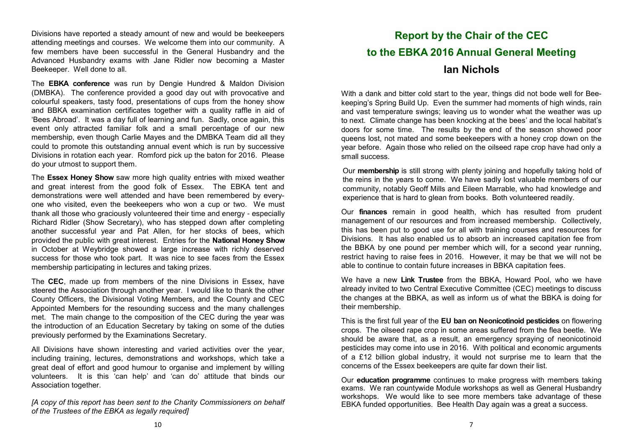Divisions have reported a steady amount of new and would be beekeepers attending meetings and courses. We welcome them into our community. A few members have been successful in the General Husbandry and the Advanced Husbandry exams with Jane Ridler now becoming a Master Beekeeper. Well done to all.

The **EBKA conference** was run by Dengie Hundred & Maldon Division (DMBKA). The conference provided a good day out with provocative and colourful speakers, tasty food, presentations of cups from the honey show and BBKA examination certificates together with a quality raffle in aid of 'Bees Abroad'. It was a day full of learning and fun. Sadly, once again, this event only attracted familiar folk and a small percentage of our new membership, even though Carlie Mayes and the DMBKA Team did all they could to promote this outstanding annual event which is run by successive Divisions in rotation each year. Romford pick up the baton for 2016. Please do your utmost to support them.

The **Essex Honey Show** saw more high quality entries with mixed weather and great interest from the good folk of Essex. The EBKA tent and demonstrations were well attended and have been remembered by everyone who visited, even the beekeepers who won a cup or two. We must thank all those who graciously volunteered their time and energy - especially Richard Ridler (Show Secretary), who has stepped down after completing another successful year and Pat Allen, for her stocks of bees, which provided the public with great interest. Entries for the **National Honey Show**  in October at Weybridge showed a large increase with richly deserved success for those who took part. It was nice to see faces from the Essex membership participating in lectures and taking prizes.

The **CEC**, made up from members of the nine Divisions in Essex, have steered the Association through another year. I would like to thank the other County Officers, the Divisional Voting Members, and the County and CEC Appointed Members for the resounding success and the many challenges met. The main change to the composition of the CEC during the year was the introduction of an Education Secretary by taking on some of the duties previously performed by the Examinations Secretary.

All Divisions have shown interesting and varied activities over the year, including training, lectures, demonstrations and workshops, which take a great deal of effort and good humour to organise and implement by willing volunteers. It is this 'can help' and 'can do' attitude that binds our Association together.

*[A copy of this report has been sent to the Charity Commissioners on behalf of the Trustees of the EBKA as legally required]*

# **Report by the Chair of the CEC to the EBKA 2016 Annual General Meeting Ian Nichols**

With a dank and bitter cold start to the year, things did not bode well for Beekeeping's Spring Build Up. Even the summer had moments of high winds, rain and vast temperature swings; leaving us to wonder what the weather was up to next. Climate change has been knocking at the bees' and the local habitat's doors for some time. The results by the end of the season showed poor queens lost, not mated and some beekeepers with a honey crop down on the year before. Again those who relied on the oilseed rape crop have had only a small success.

Our **membership** is still strong with plenty joining and hopefully taking hold of the reins in the years to come. We have sadly lost valuable members of our community, notably Geoff Mills and Eileen Marrable, who had knowledge and experience that is hard to glean from books. Both volunteered readily.

Our **finances** remain in good health, which has resulted from prudent management of our resources and from increased membership. Collectively, this has been put to good use for all with training courses and resources for Divisions. It has also enabled us to absorb an increased capitation fee from the BBKA by one pound per member which will, for a second year running, restrict having to raise fees in 2016. However, it may be that we will not be able to continue to contain future increases in BBKA capitation fees.

We have a new **Link Trustee** from the BBKA, Howard Pool, who we have already invited to two Central Executive Committee (CEC) meetings to discuss the changes at the BBKA, as well as inform us of what the BBKA is doing for their membership.

This is the first full year of the **EU ban on Neonicotinoid pesticides** on flowering crops. The oilseed rape crop in some areas suffered from the flea beetle. We should be aware that, as a result, an emergency spraying of neonicotinoid pesticides may come into use in 2016. With political and economic arguments of a £12 billion global industry, it would not surprise me to learn that the concerns of the Essex beekeepers are quite far down their list.

Our **education programme** continues to make progress with members taking exams. We ran countywide Module workshops as well as General Husbandry workshops. We would like to see more members take advantage of these EBKA funded opportunities. Bee Health Day again was a great a success.